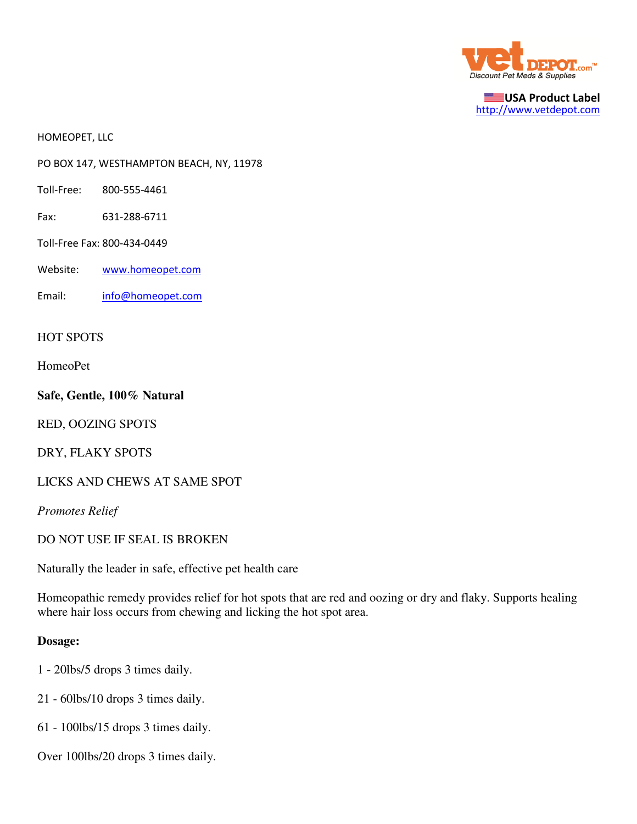

USA Product Label http://www.vetdepot.com

HOMEOPET, LLC

PO BOX 147, WESTHAMPTON BEACH, NY, 11978

- Toll-Free: 800-555-4461
- Fax: 631-288-6711
- Toll-Free Fax: 800-434-0449
- Website: www.homeopet.com
- Email: info@homeopet.com

## HOT SPOTS

HomeoPet

**Safe, Gentle, 100% Natural**

RED, OOZING SPOTS

DRY, FLAKY SPOTS

LICKS AND CHEWS AT SAME SPOT

*Promotes Relief*

DO NOT USE IF SEAL IS BROKEN

Naturally the leader in safe, effective pet health care

Homeopathic remedy provides relief for hot spots that are red and oozing or dry and flaky. Supports healing where hair loss occurs from chewing and licking the hot spot area.

## **Dosage:**

- 1 20lbs/5 drops 3 times daily.
- 21 60lbs/10 drops 3 times daily.
- 61 100lbs/15 drops 3 times daily.
- Over 100lbs/20 drops 3 times daily.